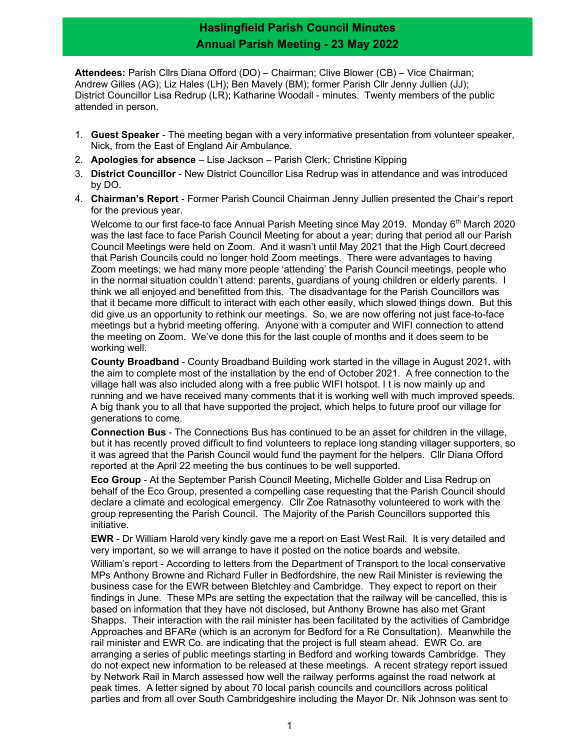## Haslingfield Parish Council Minutes Annual Parish Meeting - 23 May 2022

Attendees: Parish Cllrs Diana Offord (DO) - Chairman; Clive Blower (CB) - Vice Chairman; Andrew Gilles (AG); Liz Hales (LH); Ben Mavely (BM); former Parish Cllr Jenny Jullien (JJ); District Councillor Lisa Redrup (LR); Katharine Woodall - minutes. Twenty members of the public attended in person.

- 1. Guest Speaker The meeting began with a very informative presentation from volunteer speaker, Nick, from the East of England Air Ambulance.
- 2. Apologies for absence Lise Jackson Parish Clerk; Christine Kipping
- 3. District Councillor New District Councillor Lisa Redrup was in attendance and was introduced by DO.
- 4. Chairman's Report Former Parish Council Chairman Jenny Jullien presented the Chair's report for the previous year.

Welcome to our first face-to face Annual Parish Meeting since May 2019. Monday 6<sup>th</sup> March 2020 was the last face to face Parish Council Meeting for about a year; during that period all our Parish Council Meetings were held on Zoom. And it wasn't until May 2021 that the High Court decreed that Parish Councils could no longer hold Zoom meetings. There were advantages to having Zoom meetings; we had many more people 'attending' the Parish Council meetings, people who in the normal situation couldn't attend: parents, guardians of young children or elderly parents. I think we all enjoyed and benefitted from this. The disadvantage for the Parish Councillors was that it became more difficult to interact with each other easily, which slowed things down. But this did give us an opportunity to rethink our meetings. So, we are now offering not just face-to-face meetings but a hybrid meeting offering. Anyone with a computer and WIFI connection to attend the meeting on Zoom. We've done this for the last couple of months and it does seem to be working well.

County Broadband - County Broadband Building work started in the village in August 2021, with the aim to complete most of the installation by the end of October 2021. A free connection to the village hall was also included along with a free public WIFI hotspot. I t is now mainly up and running and we have received many comments that it is working well with much improved speeds. A big thank you to all that have supported the project, which helps to future proof our village for generations to come.

Connection Bus - The Connections Bus has continued to be an asset for children in the village, but it has recently proved difficult to find volunteers to replace long standing villager supporters, so it was agreed that the Parish Council would fund the payment for the helpers. Cllr Diana Offord reported at the April 22 meeting the bus continues to be well supported.

Eco Group - At the September Parish Council Meeting, Michelle Golder and Lisa Redrup on behalf of the Eco Group, presented a compelling case requesting that the Parish Council should declare a climate and ecological emergency. Cllr Zoe Ratnasothy volunteered to work with the group representing the Parish Council. The Majority of the Parish Councillors supported this initiative.

EWR - Dr William Harold very kindly gave me a report on East West Rail. It is very detailed and very important, so we will arrange to have it posted on the notice boards and website.

William's report - According to letters from the Department of Transport to the local conservative MPs Anthony Browne and Richard Fuller in Bedfordshire, the new Rail Minister is reviewing the business case for the EWR between Bletchley and Cambridge. They expect to report on their findings in June. These MPs are setting the expectation that the railway will be cancelled, this is based on information that they have not disclosed, but Anthony Browne has also met Grant Shapps. Their interaction with the rail minister has been facilitated by the activities of Cambridge Approaches and BFARe (which is an acronym for Bedford for a Re Consultation). Meanwhile the rail minister and EWR Co. are indicating that the project is full steam ahead. EWR Co. are arranging a series of public meetings starting in Bedford and working towards Cambridge. They do not expect new information to be released at these meetings. A recent strategy report issued by Network Rail in March assessed how well the railway performs against the road network at peak times. A letter signed by about 70 local parish councils and councillors across political parties and from all over South Cambridgeshire including the Mayor Dr. Nik Johnson was sent to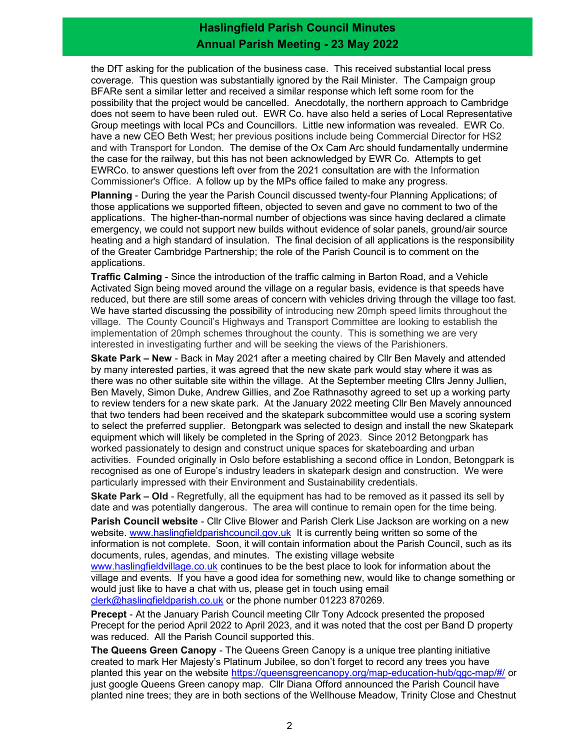## Haslingfield Parish Council Minutes Annual Parish Meeting - 23 May 2022

the DfT asking for the publication of the business case. This received substantial local press coverage. This question was substantially ignored by the Rail Minister. The Campaign group BFARe sent a similar letter and received a similar response which left some room for the possibility that the project would be cancelled. Anecdotally, the northern approach to Cambridge does not seem to have been ruled out. EWR Co. have also held a series of Local Representative Group meetings with local PCs and Councillors. Little new information was revealed. EWR Co. have a new CEO Beth West; her previous positions include being Commercial Director for HS2 and with Transport for London. The demise of the Ox Cam Arc should fundamentally undermine the case for the railway, but this has not been acknowledged by EWR Co. Attempts to get EWRCo. to answer questions left over from the 2021 consultation are with the Information Commissioner's Office. A follow up by the MPs office failed to make any progress.

Planning - During the year the Parish Council discussed twenty-four Planning Applications; of those applications we supported fifteen, objected to seven and gave no comment to two of the applications. The higher-than-normal number of objections was since having declared a climate emergency, we could not support new builds without evidence of solar panels, ground/air source heating and a high standard of insulation. The final decision of all applications is the responsibility of the Greater Cambridge Partnership; the role of the Parish Council is to comment on the applications.

Traffic Calming - Since the introduction of the traffic calming in Barton Road, and a Vehicle Activated Sign being moved around the village on a regular basis, evidence is that speeds have reduced, but there are still some areas of concern with vehicles driving through the village too fast. We have started discussing the possibility of introducing new 20mph speed limits throughout the village. The County Council's Highways and Transport Committee are looking to establish the implementation of 20mph schemes throughout the county. This is something we are very interested in investigating further and will be seeking the views of the Parishioners.

Skate Park – New - Back in May 2021 after a meeting chaired by Cllr Ben Mavely and attended by many interested parties, it was agreed that the new skate park would stay where it was as there was no other suitable site within the village. At the September meeting Cllrs Jenny Jullien, Ben Mavely, Simon Duke, Andrew Gillies, and Zoe Rathnasothy agreed to set up a working party to review tenders for a new skate park. At the January 2022 meeting Cllr Ben Mavely announced that two tenders had been received and the skatepark subcommittee would use a scoring system to select the preferred supplier. Betongpark was selected to design and install the new Skatepark equipment which will likely be completed in the Spring of 2023. Since 2012 Betongpark has worked passionately to design and construct unique spaces for skateboarding and urban activities. Founded originally in Oslo before establishing a second office in London, Betongpark is recognised as one of Europe's industry leaders in skatepark design and construction. We were particularly impressed with their Environment and Sustainability credentials.

Skate Park – Old - Regretfully, all the equipment has had to be removed as it passed its sell by date and was potentially dangerous. The area will continue to remain open for the time being.

**Parish Council website - Cllr Clive Blower and Parish Clerk Lise Jackson are working on a new** website. www.haslingfieldparishcouncil.gov.uk It is currently being written so some of the information is not complete. Soon, it will contain information about the Parish Council, such as its documents, rules, agendas, and minutes. The existing village website

www.haslingfieldvillage.co.uk continues to be the best place to look for information about the village and events. If you have a good idea for something new, would like to change something or would just like to have a chat with us, please get in touch using email clerk@haslingfieldparish.co.uk or the phone number 01223 870269.

Precept - At the January Parish Council meeting Cllr Tony Adcock presented the proposed Precept for the period April 2022 to April 2023, and it was noted that the cost per Band D property was reduced. All the Parish Council supported this.

The Queens Green Canopy - The Queens Green Canopy is a unique tree planting initiative created to mark Her Majesty's Platinum Jubilee, so don't forget to record any trees you have planted this year on the website https://queensgreencanopy.org/map-education-hub/qgc-map/#/ or just google Queens Green canopy map. Cllr Diana Offord announced the Parish Council have planted nine trees; they are in both sections of the Wellhouse Meadow, Trinity Close and Chestnut